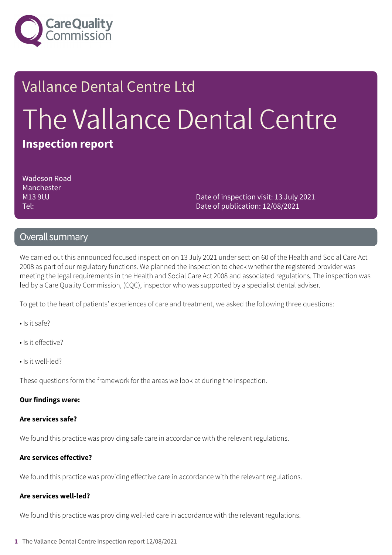

# Vallance Dental Centre Ltd The Vallance Dental Centre **Inspection report**

Wadeson Road Manchester M13 9UJ Tel:

Date of inspection visit: 13 July 2021 Date of publication: 12/08/2021

### Overall summary

We carried out this announced focused inspection on 13 July 2021 under section 60 of the Health and Social Care Act 2008 as part of our regulatory functions. We planned the inspection to check whether the registered provider was meeting the legal requirements in the Health and Social Care Act 2008 and associated regulations. The inspection was led by a Care Quality Commission, (CQC), inspector who was supported by a specialist dental adviser.

To get to the heart of patients' experiences of care and treatment, we asked the following three questions:

- Is it safe?
- Is it effective?
- Is it well-led?

These questions form the framework for the areas we look at during the inspection.

#### **Our findings were:**

#### **Are services safe?**

We found this practice was providing safe care in accordance with the relevant regulations.

### **Are services effective?**

We found this practice was providing effective care in accordance with the relevant regulations.

### **Are services well-led?**

We found this practice was providing well-led care in accordance with the relevant regulations.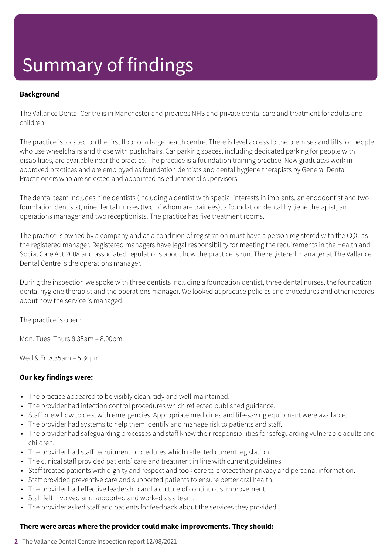## Summary of findings

### **Background**

The Vallance Dental Centre is in Manchester and provides NHS and private dental care and treatment for adults and children.

The practice is located on the first floor of a large health centre. There is level access to the premises and lifts for people who use wheelchairs and those with pushchairs. Car parking spaces, including dedicated parking for people with disabilities, are available near the practice. The practice is a foundation training practice. New graduates work in approved practices and are employed as foundation dentists and dental hygiene therapists by General Dental Practitioners who are selected and appointed as educational supervisors.

The dental team includes nine dentists (including a dentist with special interests in implants, an endodontist and two foundation dentists), nine dental nurses (two of whom are trainees), a foundation dental hygiene therapist, an operations manager and two receptionists. The practice has five treatment rooms.

The practice is owned by a company and as a condition of registration must have a person registered with the CQC as the registered manager. Registered managers have legal responsibility for meeting the requirements in the Health and Social Care Act 2008 and associated regulations about how the practice is run. The registered manager at The Vallance Dental Centre is the operations manager.

During the inspection we spoke with three dentists including a foundation dentist, three dental nurses, the foundation dental hygiene therapist and the operations manager. We looked at practice policies and procedures and other records about how the service is managed.

The practice is open:

Mon, Tues, Thurs 8.35am – 8.00pm

Wed & Fri 8.35am – 5.30pm

### **Our key findings were:**

- The practice appeared to be visibly clean, tidy and well-maintained.
- The provider had infection control procedures which reflected published guidance.
- Staff knew how to deal with emergencies. Appropriate medicines and life-saving equipment were available.
- The provider had systems to help them identify and manage risk to patients and staff.
- The provider had safeguarding processes and staff knew their responsibilities for safeguarding vulnerable adults and children.
- The provider had staff recruitment procedures which reflected current legislation.
- The clinical staff provided patients' care and treatment in line with current guidelines.
- Staff treated patients with dignity and respect and took care to protect their privacy and personal information.
- Staff provided preventive care and supported patients to ensure better oral health.
- The provider had effective leadership and a culture of continuous improvement.
- Staff felt involved and supported and worked as a team.
- The provider asked staff and patients for feedback about the services they provided.

### **There were areas where the provider could make improvements. They should:**

**2** The Vallance Dental Centre Inspection report 12/08/2021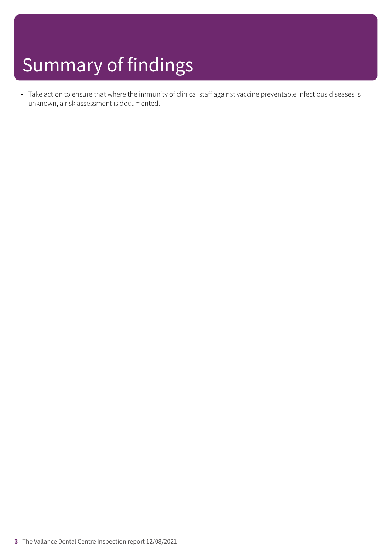## Summary of findings

• Take action to ensure that where the immunity of clinical staff against vaccine preventable infectious diseases is unknown, a risk assessment is documented.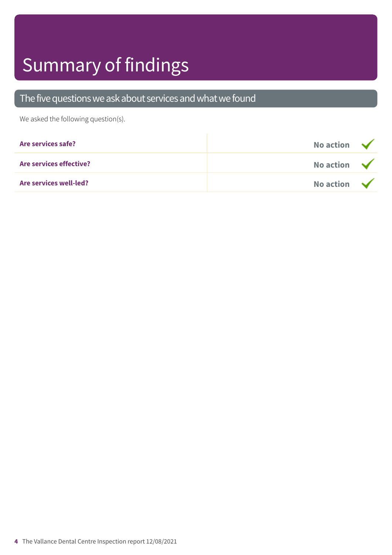# Summary of findings

### The five questions we ask about services and what we found

We asked the following question(s).

| Are services safe?      | No action $\sqrt{}$ |  |
|-------------------------|---------------------|--|
| Are services effective? | No action $\sqrt{}$ |  |
| Are services well-led?  | No action $\sqrt{}$ |  |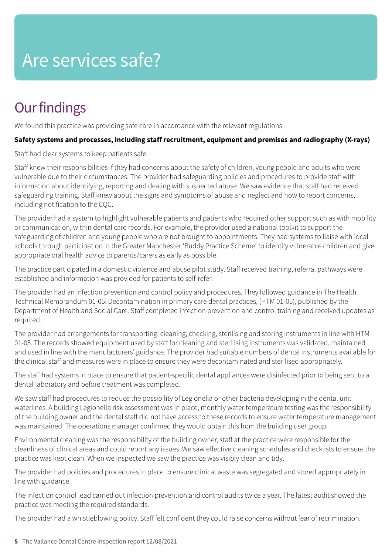### Are services safe?

### **Our findings**

We found this practice was providing safe care in accordance with the relevant regulations.

### **Safety systems and processes, including staff recruitment, equipment and premises and radiography (X-rays)**

Staff had clear systems to keep patients safe.

Staff knew their responsibilities if they had concerns about the safety of children, young people and adults who were vulnerable due to their circumstances. The provider had safeguarding policies and procedures to provide staff with information about identifying, reporting and dealing with suspected abuse. We saw evidence that staff had received safeguarding training. Staff knew about the signs and symptoms of abuse and neglect and how to report concerns, including notification to the CQC.

The provider had a system to highlight vulnerable patients and patients who required other support such as with mobility or communication, within dental care records. For example, the provider used a national toolkit to support the safeguarding of children and young people who are not brought to appointments. They had systems to liaise with local schools through participation in the Greater Manchester 'Buddy Practice Scheme' to identify vulnerable children and give appropriate oral health advice to parents/carers as early as possible.

The practice participated in a domestic violence and abuse pilot study. Staff received training, referral pathways were established and information was provided for patients to self-refer.

The provider had an infection prevention and control policy and procedures. They followed guidance in The Health Technical Memorandum 01-05: Decontamination in primary care dental practices, (HTM 01-05), published by the Department of Health and Social Care. Staff completed infection prevention and control training and received updates as required.

The provider had arrangements for transporting, cleaning, checking, sterilising and storing instruments in line with HTM 01-05. The records showed equipment used by staff for cleaning and sterilising instruments was validated, maintained and used in line with the manufacturers' guidance. The provider had suitable numbers of dental instruments available for the clinical staff and measures were in place to ensure they were decontaminated and sterilised appropriately.

The staff had systems in place to ensure that patient-specific dental appliances were disinfected prior to being sent to a dental laboratory and before treatment was completed.

We saw staff had procedures to reduce the possibility of Legionella or other bacteria developing in the dental unit waterlines. A building Legionella risk assessment was in place, monthly water temperature testing was the responsibility of the building owner and the dental staff did not have access to these records to ensure water temperature management was maintained. The operations manager confirmed they would obtain this from the building user group.

Environmental cleaning was the responsibility of the building owner, staff at the practice were responsible for the cleanliness of clinical areas and could report any issues. We saw effective cleaning schedules and checklists to ensure the practice was kept clean. When we inspected we saw the practice was visibly clean and tidy.

The provider had policies and procedures in place to ensure clinical waste was segregated and stored appropriately in line with guidance.

The infection control lead carried out infection prevention and control audits twice a year. The latest audit showed the practice was meeting the required standards.

The provider had a whistleblowing policy. Staff felt confident they could raise concerns without fear of recrimination.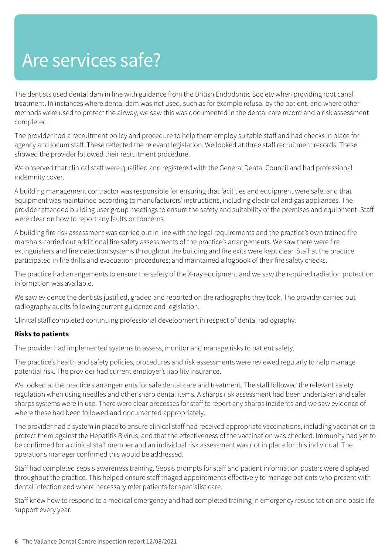### Are services safe?

The dentists used dental dam in line with guidance from the British Endodontic Society when providing root canal treatment. In instances where dental dam was not used, such as for example refusal by the patient, and where other methods were used to protect the airway, we saw this was documented in the dental care record and a risk assessment completed.

The provider had a recruitment policy and procedure to help them employ suitable staff and had checks in place for agency and locum staff. These reflected the relevant legislation. We looked at three staff recruitment records. These showed the provider followed their recruitment procedure.

We observed that clinical staff were qualified and registered with the General Dental Council and had professional indemnity cover.

A building management contractor was responsible for ensuring that facilities and equipment were safe, and that equipment was maintained according to manufacturers' instructions, including electrical and gas appliances. The provider attended building user group meetings to ensure the safety and suitability of the premises and equipment. Staff were clear on how to report any faults or concerns.

A building fire risk assessment was carried out in line with the legal requirements and the practice's own trained fire marshals carried out additional fire safety assessments of the practice's arrangements. We saw there were fire extinguishers and fire detection systems throughout the building and fire exits were kept clear. Staff at the practice participated in fire drills and evacuation procedures; and maintained a logbook of their fire safety checks.

The practice had arrangements to ensure the safety of the X-ray equipment and we saw the required radiation protection information was available.

We saw evidence the dentists justified, graded and reported on the radiographs they took. The provider carried out radiography audits following current guidance and legislation.

Clinical staff completed continuing professional development in respect of dental radiography.

### **Risks to patients**

The provider had implemented systems to assess, monitor and manage risks to patient safety.

The practice's health and safety policies, procedures and risk assessments were reviewed regularly to help manage potential risk. The provider had current employer's liability insurance.

We looked at the practice's arrangements for safe dental care and treatment. The staff followed the relevant safety regulation when using needles and other sharp dental items. A sharps risk assessment had been undertaken and safer sharps systems were in use. There were clear processes for staff to report any sharps incidents and we saw evidence of where these had been followed and documented appropriately.

The provider had a system in place to ensure clinical staff had received appropriate vaccinations, including vaccination to protect them against the Hepatitis B virus, and that the effectiveness of the vaccination was checked. Immunity had yet to be confirmed for a clinical staff member and an individual risk assessment was not in place for this individual. The operations manager confirmed this would be addressed.

Staff had completed sepsis awareness training. Sepsis prompts for staff and patient information posters were displayed throughout the practice. This helped ensure staff triaged appointments effectively to manage patients who present with dental infection and where necessary refer patients for specialist care.

Staff knew how to respond to a medical emergency and had completed training in emergency resuscitation and basic life support every year.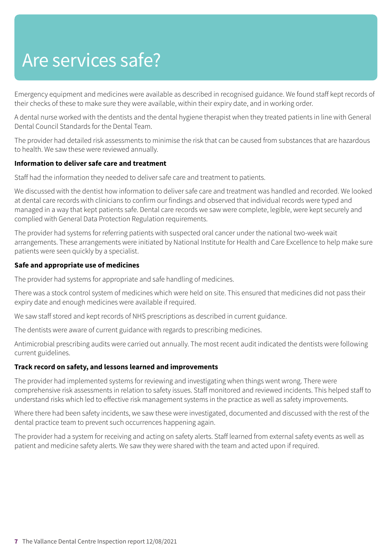### Are services safe?

Emergency equipment and medicines were available as described in recognised guidance. We found staff kept records of their checks of these to make sure they were available, within their expiry date, and in working order.

A dental nurse worked with the dentists and the dental hygiene therapist when they treated patients in line with General Dental Council Standards for the Dental Team.

The provider had detailed risk assessments to minimise the risk that can be caused from substances that are hazardous to health. We saw these were reviewed annually.

### **Information to deliver safe care and treatment**

Staff had the information they needed to deliver safe care and treatment to patients.

We discussed with the dentist how information to deliver safe care and treatment was handled and recorded. We looked at dental care records with clinicians to confirm our findings and observed that individual records were typed and managed in a way that kept patients safe. Dental care records we saw were complete, legible, were kept securely and complied with General Data Protection Regulation requirements.

The provider had systems for referring patients with suspected oral cancer under the national two-week wait arrangements. These arrangements were initiated by National Institute for Health and Care Excellence to help make sure patients were seen quickly by a specialist.

#### **Safe and appropriate use of medicines**

The provider had systems for appropriate and safe handling of medicines.

There was a stock control system of medicines which were held on site. This ensured that medicines did not pass their expiry date and enough medicines were available if required.

We saw staff stored and kept records of NHS prescriptions as described in current guidance.

The dentists were aware of current guidance with regards to prescribing medicines.

Antimicrobial prescribing audits were carried out annually. The most recent audit indicated the dentists were following current guidelines.

#### **Track record on safety, and lessons learned and improvements**

The provider had implemented systems for reviewing and investigating when things went wrong. There were comprehensive risk assessments in relation to safety issues. Staff monitored and reviewed incidents. This helped staff to understand risks which led to effective risk management systems in the practice as well as safety improvements.

Where there had been safety incidents, we saw these were investigated, documented and discussed with the rest of the dental practice team to prevent such occurrences happening again.

The provider had a system for receiving and acting on safety alerts. Staff learned from external safety events as well as patient and medicine safety alerts. We saw they were shared with the team and acted upon if required.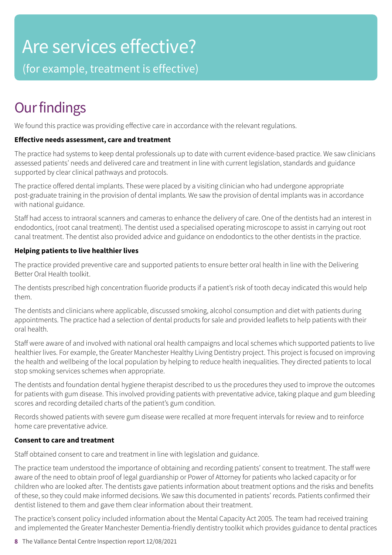### Are services effective?

(for example, treatment is effective)

### **Our findings**

We found this practice was providing effective care in accordance with the relevant regulations.

### **Effective needs assessment, care and treatment**

The practice had systems to keep dental professionals up to date with current evidence-based practice. We saw clinicians assessed patients' needs and delivered care and treatment in line with current legislation, standards and guidance supported by clear clinical pathways and protocols.

The practice offered dental implants. These were placed by a visiting clinician who had undergone appropriate post-graduate training in the provision of dental implants. We saw the provision of dental implants was in accordance with national guidance.

Staff had access to intraoral scanners and cameras to enhance the delivery of care. One of the dentists had an interest in endodontics, (root canal treatment). The dentist used a specialised operating microscope to assist in carrying out root canal treatment. The dentist also provided advice and guidance on endodontics to the other dentists in the practice.

### **Helping patients to live healthier lives**

The practice provided preventive care and supported patients to ensure better oral health in line with the Delivering Better Oral Health toolkit.

The dentists prescribed high concentration fluoride products if a patient's risk of tooth decay indicated this would help them.

The dentists and clinicians where applicable, discussed smoking, alcohol consumption and diet with patients during appointments. The practice had a selection of dental products for sale and provided leaflets to help patients with their oral health.

Staff were aware of and involved with national oral health campaigns and local schemes which supported patients to live healthier lives. For example, the Greater Manchester Healthy Living Dentistry project. This project is focused on improving the health and wellbeing of the local population by helping to reduce health inequalities. They directed patients to local stop smoking services schemes when appropriate.

The dentists and foundation dental hygiene therapist described to us the procedures they used to improve the outcomes for patients with gum disease. This involved providing patients with preventative advice, taking plaque and gum bleeding scores and recording detailed charts of the patient's gum condition.

Records showed patients with severe gum disease were recalled at more frequent intervals for review and to reinforce home care preventative advice.

### **Consent to care and treatment**

Staff obtained consent to care and treatment in line with legislation and guidance.

The practice team understood the importance of obtaining and recording patients' consent to treatment. The staff were aware of the need to obtain proof of legal guardianship or Power of Attorney for patients who lacked capacity or for children who are looked after. The dentists gave patients information about treatment options and the risks and benefits of these, so they could make informed decisions. We saw this documented in patients' records. Patients confirmed their dentist listened to them and gave them clear information about their treatment.

The practice's consent policy included information about the Mental Capacity Act 2005. The team had received training and implemented the Greater Manchester Dementia-friendly dentistry toolkit which provides guidance to dental practices

**8** The Vallance Dental Centre Inspection report 12/08/2021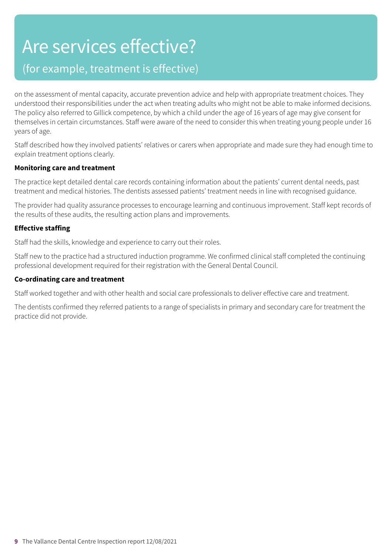### Are services effective?

### (for example, treatment is effective)

on the assessment of mental capacity, accurate prevention advice and help with appropriate treatment choices. They understood their responsibilities under the act when treating adults who might not be able to make informed decisions. The policy also referred to Gillick competence, by which a child under the age of 16 years of age may give consent for themselves in certain circumstances. Staff were aware of the need to consider this when treating young people under 16 years of age.

Staff described how they involved patients' relatives or carers when appropriate and made sure they had enough time to explain treatment options clearly.

#### **Monitoring care and treatment**

The practice kept detailed dental care records containing information about the patients' current dental needs, past treatment and medical histories. The dentists assessed patients' treatment needs in line with recognised guidance.

The provider had quality assurance processes to encourage learning and continuous improvement. Staff kept records of the results of these audits, the resulting action plans and improvements.

### **Effective staffing**

Staff had the skills, knowledge and experience to carry out their roles.

Staff new to the practice had a structured induction programme. We confirmed clinical staff completed the continuing professional development required for their registration with the General Dental Council.

#### **Co-ordinating care and treatment**

Staff worked together and with other health and social care professionals to deliver effective care and treatment.

The dentists confirmed they referred patients to a range of specialists in primary and secondary care for treatment the practice did not provide.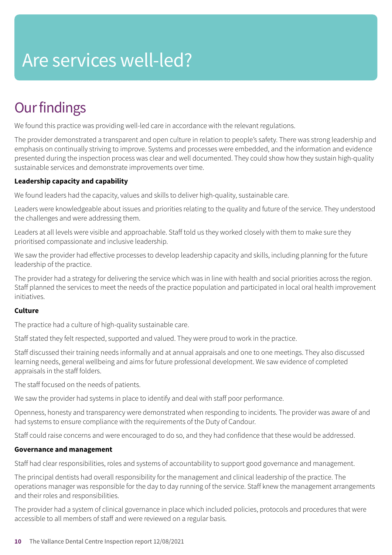## Are services well-led?

### **Our findings**

We found this practice was providing well-led care in accordance with the relevant regulations.

The provider demonstrated a transparent and open culture in relation to people's safety. There was strong leadership and emphasis on continually striving to improve. Systems and processes were embedded, and the information and evidence presented during the inspection process was clear and well documented. They could show how they sustain high-quality sustainable services and demonstrate improvements over time.

### **Leadership capacity and capability**

We found leaders had the capacity, values and skills to deliver high-quality, sustainable care.

Leaders were knowledgeable about issues and priorities relating to the quality and future of the service. They understood the challenges and were addressing them.

Leaders at all levels were visible and approachable. Staff told us they worked closely with them to make sure they prioritised compassionate and inclusive leadership.

We saw the provider had effective processes to develop leadership capacity and skills, including planning for the future leadership of the practice.

The provider had a strategy for delivering the service which was in line with health and social priorities across the region. Staff planned the services to meet the needs of the practice population and participated in local oral health improvement initiatives.

### **Culture**

The practice had a culture of high-quality sustainable care.

Staff stated they felt respected, supported and valued. They were proud to work in the practice.

Staff discussed their training needs informally and at annual appraisals and one to one meetings. They also discussed learning needs, general wellbeing and aims for future professional development. We saw evidence of completed appraisals in the staff folders.

The staff focused on the needs of patients.

We saw the provider had systems in place to identify and deal with staff poor performance.

Openness, honesty and transparency were demonstrated when responding to incidents. The provider was aware of and had systems to ensure compliance with the requirements of the Duty of Candour.

Staff could raise concerns and were encouraged to do so, and they had confidence that these would be addressed.

### **Governance and management**

Staff had clear responsibilities, roles and systems of accountability to support good governance and management.

The principal dentists had overall responsibility for the management and clinical leadership of the practice. The operations manager was responsible for the day to day running of the service. Staff knew the management arrangements and their roles and responsibilities.

The provider had a system of clinical governance in place which included policies, protocols and procedures that were accessible to all members of staff and were reviewed on a regular basis.